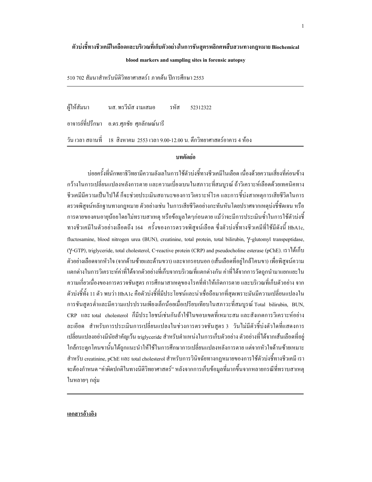## ตัวปงชี้ทางชีวเคมีในเลือดและบริเวณที่เก็บตัวอย่างในการชันสูตรพลิกศพสืบสวนทางกฎหมาย Biochemical

#### blood markers and sampling sites in forensic autopsy

510 702 สัมนาสำหรับนิติวิทยาศาสตร์1 ภาคด้น ปีการศึกษา 2553

ผ้ให้สัมนา า นส.พรวีนัส งามเสมอ รหัส *5*2312322 อาจารย์ที่ปรึกษา อ.คร.ศุภชัย ศุภลักษณ์นารี วัน เวลา สถานที่ 18 สิงหาคม 2553 เวลา 9.00-12.00 น. ตึกวิทยาศาสตร์อาคาร 4 ห้อง

## บทคัดย่อ

บ่อยครั้งที่นักพยาธิวิทยามีความลังเลในการใช้ตัวบ่งชี้ทางชีวเคมีในเลือด เนื่องด้วยความเสี่ยงที่ค่อนข้าง กว้างในการเปลี่ยนแปลงหลังการตาย และความเบี่ยงเบนในสภาวะที่สมบูรณ์ ถ้าวิเคราะห์เลือดด้วยเทคนิคทาง ชีวเคมีมีความเป็น ไป ได้ ก็จะช่วยประเมินสถานะของการวิเคราะห์โรค และการซึ้บ่งสาเหตุการเสียชีวิตในการ ตรวจพิสูจน์หลักฐานทางกฎหมาย ตัวอย่างเช่น ในการเสียชีวิตอย่างกะทันหันโดยปราศจากเหตุบ่งชี้ชัดเจน หรือ การตายของคนอายุน้อยโดยใม่ทราบสาเหตุ หรือข้อมูลใดๆก่อนตาย แม้ว่าจะมีการประเมินซ้ำในการใช้ตัวบ่งซี้ ทางชีวเคมีในตัวอย่างเลือดถึง 164 ครั้งของการตรวจพิสูจน์เลือด ซึ่งตัวบ่งชี้ทางชีวเคมีที่ใช้มีดังนี้ HbA1c, fluctosamine, blood nitrogen urea (BUN), creatinine, total protein, total bilirubin, γ-glutomyl transpeptidase, (γ-GTP), triglyceride, total cholesterol, C-reactive protein (CRP) and pseudocholine esterase (pChE). <sup>[51]</sup> ΜΙΝ ή υ ตัวอย่างเลือดจากหัวใจ (จากด้านซ้ายและด้านขวา) และจากรอบนอก (เส้นเลือดที่อยู่ใกล้โคนขา) เพื่อพิสูจน์ความ แตกต่างในการวิเคราะห์ค่าที่ได้จากตัวอย่างที่เก็บจากบริเวณที่แตกต่างกัน ค่าที่ได้จากการวัดถูกนำมาแยกแยะใน ความเกี่ยวเนื่องของการตรวจชันสูตร การศึกษาสาเหตุของโรคที่ทำให้เกิดการตาย และบริเวณที่เก็บตัวอย่าง จาก ตัวบ่งชี้ทั้ง 11 ตัว พบว่า HbA1c คือตัวบ่งชี้ที่มีประ โยชน์และน่าเชื่อถือมากที่สุดเพราะมันมีความเปลี่ยนแปลงใน การชันสูตรต่ำและมีความแปรปรวนเพียงเล็กน้อยเมื่อเปรียบเทียบในสภาวะที่สมบูรณ์ Total bilirubin, BUN, CRP และtotal cholesterol ก็มีประโยชน์เช่นกันถ้าใช้ในขอบเขตที่เหมาะสมและสังเกตการวิเคราะห์อย่าง ละเอียด สำหรับการประเมินการเปลี่ยนแปลงในช่วงการตรวจชันสูตร 3 วันไม่มีตัวซึ่บ่งตัวใดที่แสดงการ เปลี่ยนแปลงอย่างมีนัยสำคัญเว้น triglyceride สำหรับตำแหน่งในการเก็บตัวอย่าง ตัวอย่างที่ได้จากเส้นเลือดที่อยู่ ใกล้กระดูกโคนขานั้นใด้ถูกแนะนำให้ใช้ในการศึกษาการเปลี่ยนแปลงหลังการตาย แต่จากหัวใจด้านซ้ายเหมาะ สำหรับ creatinine, pChE และ total cholesterol สำหรับการวินิจฉัยทางกฎหมายของการใช้ตัวบ่งชี้ทางชีวเคมี เรา จะต้องกำหนด "ค่าผิดปกติในทางนิติวิทยาศาสตร์" หลังจากการเก็บข้อมูลที่มากขึ้นจากหลายกรณีที่ทราบสาเหตุ ในหลายๆ กลุ่ม

#### เอกสารอ้างอิง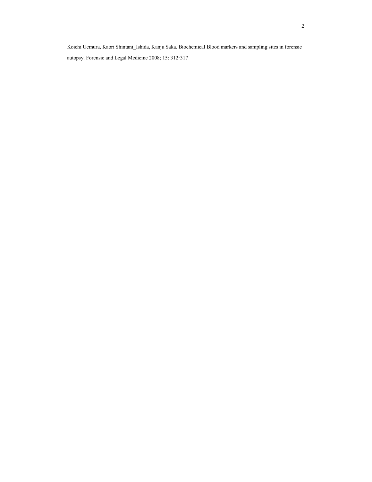Koichi Uemura, Kaori Shintani\_Ishida, Kanju Saka. Biochemical Blood markers and sampling sites in forensic autopsy. Forensic and Legal Medicine 2008; 15: 312-317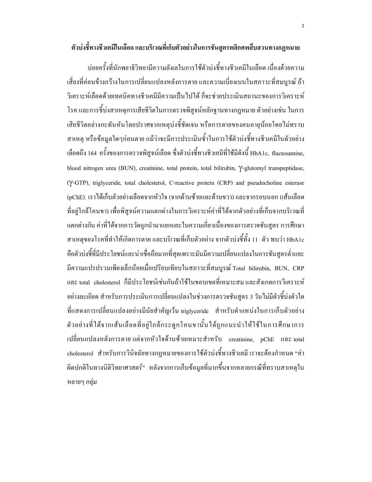บ่อยครั้งที่นักพยาธิวิทยามีความลังเลในการใช้ตัวบ่งชี้ทางชีวเคมีในเลือด เนื่องด้วยความ เสี่ยงที่ค่อนข้างกว้างในการเปลี่ยนแปลงหลังการตาย และความเบี่ยงเบนในสภาวะที่สมบูรณ์ ถ้า วิเคราะห์เลือดด้วยเทคนิคทางชีวเคมีมีความเป็น ไป ได้ ก็จะช่วยประเมินสถานะของการวิเคราะห์ โรค และการซี้บ่งสาเหตุการเสียชีวิตในการตรวจพิสูจน์หลักฐานทางกฎหมาย ตัวอย่างเช่น ในการ เสียชีวิตอย่างกะทันหันโดยปราศจากเหตุบ่งซี้ชัดเจน หรือการตายของคนอายุน้อยโดยไม่ทราบ สาเหตุ หรือข้อมูลใคๆก่อนตาย แม้ว่าจะมีการประเมินซ้ำในการใช้ตัวบ่งชี้ทางชีวเคมีในตัวอย่าง เลือดถึง 164 ครั้งของการตรวจพิสูจน์เลือด ซึ่งตัวบ่งชี้ทางชีวเคมีที่ใช้มีดังนี้ HbA1c, fluctosamine, blood nitrogen urea (BUN), creatinine, total protein, total bilirubin, γ-glutomyl transpeptidase, (γ-GTP), triglyceride, total cholesterol, C-reactive protein (CRP) and pseudocholine esterase (pChE). เราได้เก็บตัวอย่างเลือดจากหัวใจ (จากด้านซ้ายและด้านขวา) และจากรอบนอก (เส้นเลือด ที่อยู่ใกล้โคนขา) เพื่อพิสูจน์ความแตกต่างในการวิเคราะห์ค่าที่ได้จากตัวอย่างที่เก็บจากบริเวณที่ แตกต่างกัน ค่าที่ได้จากการวัดถูกนำมาแยกแยะในความเกี่ยวเนื่องของการตรวจชันสูตร การศึกษา ่ สาเหตุของโรคที่ทำให้เกิดการตาย และบริเวณที่เก็บตัวอย่าง จากตัวบ่งชี้ทั้ง 11 ตัว พบว่า HbA1c กือตัวบ่งชี้ที่มีประ โยชน์และน่าเชื่อถือมากที่สุดเพราะมันมีความเปลี่ยนแปลงในการชันสูตรต่ำและ มีความแปรปรวนเพียงเล็กน้อยเมื่อเปรียบเทียบในสภาวะที่สมบูรณ์ Total bilirubin, BUN, CRP และ total cholesterol ก็มีประโยชน์เช่นกันถ้าใช้ในขอบเขตที่เหมาะสม และสังเกตการวิเคราะห์ อย่างละเอียด สำหรับการประเมินการเปลี่ยนแปลงในช่วงการตรวจชันสูตร 3 วันไม่มีตัวชี้บ่งตัวใด ที่แสดงการเปลี่ยนแปลงอย่างมีนัยสำคัญเว้น triglyceride สำหรับตำแหน่งในการเก็บตัวอย่าง ตัวอย่างที่ได้จากเส้นเลือดที่อยู่ใกล้กระดูกโคนขานั้นได้ถูกแนะนำให้ใช้ในการศึกษาการ เปลี่ยนแปลงหลังการตาย แต่จากหัวใจด้านซ้ายเหมาะสำหรับ creatinine, pChE และ total cholesterol สำหรับการวินิจฉัยทางกฎหมายของการใช้ตัวบ่งชี้ทางชีวเคมี เราจะต้องกำหนด "ค่า ผิดปกติในทางนิติวิทยาศาสตร์" หลังจากการเก็บข้อมูลที่มากขึ้นจากหลายกรณีที่ทราบสาเหตุใน หลายๆ กลุ่ม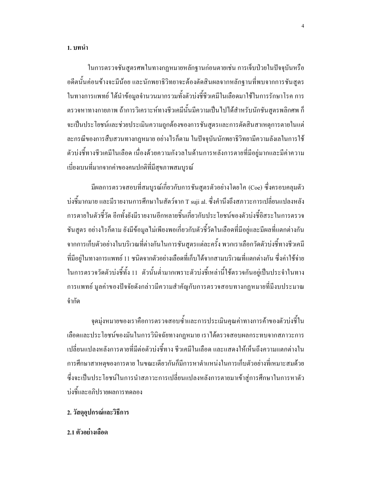ในการตรวจชันสูตรศพในทางกฎหมายหลักฐานก่อนตายเช่น การเจ็บป่วยในปัจจุบันหรือ ้อดีตนั้นค่อนข้างจะมีน้อย และนักพยาธิวิทยาจะต้องตัดสินผลจากหลักฐานที่พบจากการชันสูตร ในทางการแพทย์ ได้นำข้อมูลจำนวนมากรวมทั้งตัวบ่งชี้ชีวเคมีในเลือดมาใช้ในการรักษาโรค การ ้ตรวจหาทางกายภาพ ถ้าการวิเคราะห์ทางชีวเคมีนั้นมีความเป็นไปได้สำหรับนักชันสูตรพลิกศพ ก็ ้จะเป็นประโยชน์และช่วยประเมินความถูกต้องของการชันสูตรและการตัดสินสาเหตุการตายในแต่ ิละกรณีของการสืบสวนทางกฎหมาย อย่างไรก็ตาม ในปัจจุบันนักพยาธิวิทยามีความลังเลในการใช้ ้ตัวบ่งชี้ทางชีวเคมีในเลือด เนื่องด้วยความกังวลในด้านการหลังการตายที่มีอย่มากและมีค่าความ เบี่ยงเบนที่มากจากค่าของคนปกติที่มีสุขภาพสมบูรณ์

ี่ มีผลการตรวจสอบที่สมบูรณ์เกี่ยวกับการชันสูตรตัวอย่างโดยโก (Coe) ซึ่งครอบคลุมตัว บ่งชี้มากมาย และมีรายงานการศึกษาในสัตว์จาก T suji al. ซึ่งคำนึงถึงสภาวะการเปลี่ยนแปลงหลัง ึการตายในตัวชี้วัด อีกทั้งยังมีรายงานอีกหลายชิ้นเกี่ยวกับประ โยชน์ของตัวบ่งชี้อิสระในการตรวจ ชันสูตร อย่างไรก็ตาม ยังมีข้อมูลไม่เพียงพอเกี่ยวกับตัวชี้วัดในเลือดที่มีอยู่และมีผลที่แตกต่างกัน ้จากการเก็บตัวอย่างในบริเวณที่ต่างกันในการชันสูตรแต่ละครั้ง พวกเราเลือกวัดตัวบ่งชี้ทางชีวเคมี ้ที่มีอยู่ในทางการแพทย์ 11 ชนิดจากตัวอย่างเลือดที่เก็บได้จากสามบริเวณที่แตกต่างกัน ซึ่งค่าใช้จ่าย ในการตรวจวัดตัวบ่งชี้ทั้ง 11 ตัวนั้นต่ำมากเพราะตัวบ่งชี้เหล่านี้ใช้ตรวจกันอยู่เป็นประจำในทาง ึการแพทย์ มูลค่าของปัจจัยดังกล่าวมีความสำคัญกับการตรวจสอบทางกฎหมายที่มีงบประมาณ จำกัด

จุดมุ่งหมายของเราคือการตรวจสอบซ้ำและการประเมินคุณค่าทางการค้าของตัวบ่งชี้ใน ้เลือดและประโยชน์ของมันในการวินิจฉัยทางกฎหมาย เราได้ตรวจสอบผลกระทบจากสภาวะการ ้เปลี่ยนแปลงหลังการตายที่มีต่อตัวบ่งชี้ทาง ชีวเคมีในเลือด และแสดงให้เห็นถึงความแตกต่างใน ึการศึกษาสาเหตุของการตาย ในขณะเดียวกันก็มีการหาตำแหน่งในการเก็บตัวอย่างที่เหมาะสมด้วย ซึ่งจะเป็นประโยชน์ในการนำสภาวะการเปลี่ยนแปลงหลังการตายมาเข้าสู่การศึกษาในการหาตัว บ่งชี้และอภิปรายผลการทดลอง

- 2. วัสดุอุปกรณ์และวิธีการ
- 2.1 ตัวอย่างเลือด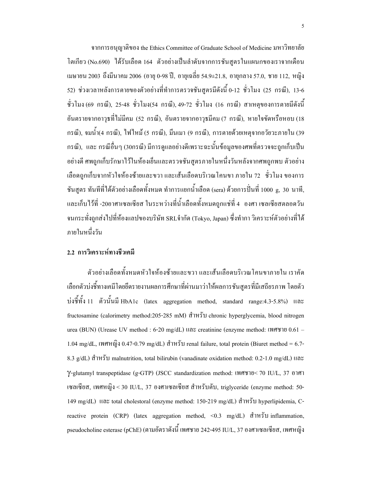จากการอนุญาติของ the Ethics Committee of Graduate School of Medicine มหาวิทยาลัย โตเกียว (No.690) "ได้รับเลือด 164 ตัวอย่างเป็นลำดับจากการชั้นสูตรในแผนกของเราจากเดือน เมษายน 2003 ถึงมีนาคม 2006 (อายุ 0−98 ปี, อายุเฉลี่ย 54.9±21.8, อายุกลาง 57.0, ชาย 112, หญิง 52) ช่วงเวลาหลังการตายของตัวอย่างที่ทำการตรวจชันสูตรมีดังนี้ 0-12 ชั่วโมง (25 กรณี), 13-6 ชั่วโมง (69 กรณี), 25-48 ชั่วโมง(54 กรณี), 49-72 ชั่วโมง (16 กรณี) สาเหตุของการตายมีดังนี้ อันตรายจากอาวุธที่ไม่มีคม (52 กรณี), อันตรายจากอาวุธมีคม (7 กรณี), หายใจขัดหรือหอบ (18 กรณี), จมน้ำ(4 กรณี), ไฟไหม้ (5 กรณี), มึนเมา (9 กรณี), การตายด้วยเหตุจากอวัยวะภายใน (39 กรณี), และ กรณีอื่นๆ (30กรณี) มีการดูแลอย่างดีเพราะฉะนั้นข้อมูลของศพที่ตรวจจะถูกเก็บเป็น อย่างดี ศพถูกเก็บรักษาไว้ในห้องเย็นและตรวจชันสูตรภายในหนึ่งวันหลังจากศพถูกพบ ตัวอย่าง เลือดถูกเก็บจากหัวใจห้องซ้ายและขวา และเส้นเลือดบริเวณโคนขา ภายใน 72 ชั่วโมง ของการ ชันสูตร ทันทีที่ได้ตัวอย่างเลือดทั้งหมด ทำการแยกน้ำเลือด (sera) ด้วยการปั่นที่ 1000 g, 30 นาที, และเก็บไว้ที่ -20อาศาเซลเซียส ในระหว่างที่น้ำเลือดทั้งหมดถูกแช่ที่ 4 องศา เซลเซียสตลอดวัน จนกระทั่งถูกส่งไปที่ห้องแลปของบริษัท SRLจำกัด (Tokyo, Japan) ซึ่งทำกา วิเคราะห์ตัวอย่างที่ได้ ภายในหนึ่งวัน

# 2.2 การวิเคราะห์ทางชีวเคมี

ตัวอย่างเลือดทั้งหมดหัวใจห้องซ้ายและขวา และเส้นเลือดบริเวณ โคนขาภายใน เราคัด เลือกตัวบ่งชี้ทางเคมีโดยยึดรายงานผลการศึกษาที่ผ่านมาว่าให้ผลการชันสูตรที่มีเสถียรภาพ โดยตัว ปงชี้ทั้ง 11 ตัวนั้นมี HbA1c (latex aggregation method, standard range:4.3-5.8%) และ fructosamine (calorimetry method:205-285 mM) สำหรับ chronic hyperglycemia, blood nitrogen urea (BUN) (Urease UV method : 6-20 mg/dL) และ creatinine (enzyme method: เพศชาย 0.61 – 1.04 mg/dL, เพศหญิง 0.47-0.79 mg/dL) สำหรับ renal failure, total protein (Biuret method = 6.7-8.3  $g/dL$ ) สำหรับ malnutrition, total bilirubin (vanadinate oxidation method: 0.2-1.0 mg/dL) และ Y-glutamyl transpeptidase (g-GTP) (JSCC standardization method: เพศชาย< 70 IU/L, 37 อาศา เซลเซียส, เพศหญิง < 30 IU/L, 37 องศาเซลเซียส สำหรับตับ, triglyceride (enzyme method: 50-149 mg/dL) และ total cholestoral (enzyme method: 150-219 mg/dL) สำหรับ hyperlipidemia, Creactive protein (CRP) (latex aggregation method,  $\leq 0.3$  mg/dL) สำหรับ inflammation, pseudocholine esterase (pChE) (ตามอัตราดังนี้ เพศชาย 242-495 IU/L, 37 องศาเซลเซียส, เพศหญิง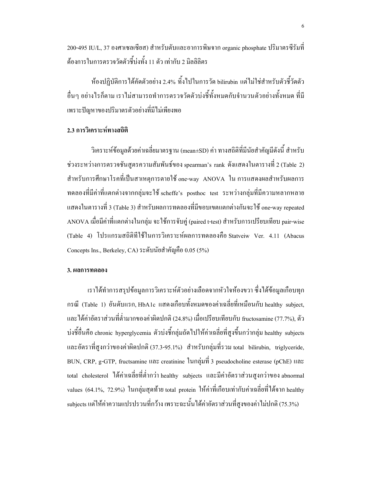200-495 IU/L, 37 องศาเซลเซียส) สำหรับตับและอาการพิษจาก organic phosphate ปริมาตรซีรัมที่ ้ต้องการในการตรวจวัดตัวชี้บ่งทั้ง 11 ตัว เท่ากับ 2 มิลลิลิตร

ห้องปฏิบัติการได้คัดตัวอย่าง 2.4% ทิ้งไปในการวัด bilirubin แต่ไม่ใช่สำหรับตัวชี้วัดตัว อื่นๆ อย่างไรก็ตาม เราไม่สามารถทำการตรวจวัดตัวบ่งชี้ทั้งหมดกับจำนวนตัวอย่างทั้งหมด ที่มี เพราะปัญหาของปริมาตรตัวอย่างที่มีไม่เพียงพอ

## 2.3 การวิเคราะห์ทางสถิติ

วิเคราะห์ข้อมูลด้วยค่าเฉลี่ยมาตรฐาน (mean±SD) ค่า ทางสถิติที่มีนัยสำคัญมีดังนี้ สำหรับ ช่วงระหว่างการตรวจชั้นสูตรความสัมพันธ์ของ spearman's rank ดังแสดงในตารางที่ 2 (Table 2) ี สำหรับการศึกษาโรคที่เป็นสาเหตุการตายใช้ one-way ANOVA ใน การแสดงผลสำหรับผลการ ทดลองที่มีค่าที่แตกต่างจากกลุ่มจะใช้ scheffe's posthoc test ระหว่างกลุ่มที่มีความหลากหลาย แสดงในตารางที่ 3 (Table 3) สำหรับผลการทดลองที่มีขอบเขตแตกต่างกันจะใช้ one-way repeated ANOVA เมื่อมีค่าที่แตกต่างในกลุ่ม จะใช้การจับคู่ (paired t-test) สำหรับการเปรียบเทียบ pair-wise (Table 4) โปรแกรมสถิติที่ใช้ในการวิเคราะห์ผลการทดลองคือ Statveiw Ver. 4.11 (Abacus Concepts Ins., Berkeley, CA) ระดับนัยสำคัญคือ 0.05 (5%)

#### 3. ผลการทดลอง

้ เราใด้ทำการสรุปข้อมูลการวิเคราะห์ตัวอย่างเลือดจากหัวใจห้องขวา ซึ่งใด้ข้อมูลเกือบทุก กรณี (Table 1) อันดับแรก HbA1c แสดงเกือบทั้งหมดของค่าเฉลี่ยที่เหมือนกับ healthy subject, และ ได้ค่าอัตราส่วนที่ต่ำมากของค่าผิดปกติ (24.8%) เมื่อเปรียบเทียบกับ fructosamine (77.7%), ตัว บ่งชี้อื่นคือ chronic hyperglycemia ตัวบ่งชี้กลุ่มถัดไปให้ค่าเฉลี่ยที่สูงขึ้นกว่ากลุ่ม healthy subjects และอัตราที่สงกว่าของค่าผิดปกติ (37.3-95.1%) สำหรับกล่มที่รวม total bilirubin, triglyceride, BUN, CRP, g-GTP, fructsamine และ creatinine ในกลุ่มที่ 3 pseudocholine esterase (pChE) และ total cholesterol ใด้ค่าเฉลี่ยที่ต่ำกว่า healthy subjects และมีค่าอัตราส่วนสูงกว่าของabnormal values (64.1%, 72.9%) ในกลุ่มสุดท้าย total protein ให้ค่าที่เกือบเท่ากับค่าเฉลี่ยที่ได้จาก healthy subjects แต่ให้ค่าความแปรปรวนที่กว้าง เพราะฉะนั้นได้ค่าอัตราส่วนที่สูงของค่าไม่ปกติ (75.3%)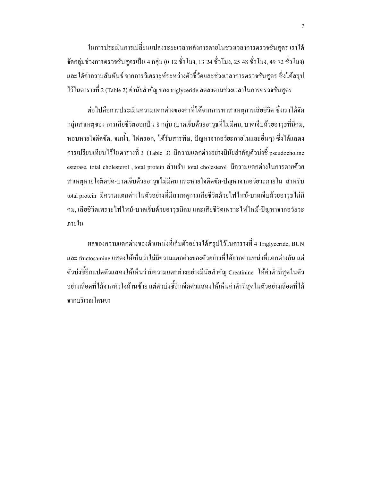ในการประเมินการเปลี่ยนแปลงระยะเวลาหลังการตายในช่วงเวลาการตรวจชันสูตร เราได้ จัดกลุ่มช่วงการตรวจชันสูตรเป็น 4 กลุ่ม (0-12 ชั่วโมง, 13-24 ชั่วโมง, 25-48 ชั่วโมง, 49-72 ชั่วโมง) และได้ก่ากวามสัมพันธ์ จากการวิเคราะห์ระหว่างตัวชี้วัดและช่วงเวลาการตรวจชันสูตร ซึ่งได้สรุป ไว้ในตารางที่ 2 (Table 2) ค่านัยสำคัญ ของ triglyceride ลดลงตามช่วงเวลาในการตรวจชันสูตร

ต่อไปคือการประเมินความแตกต่างของค่าที่ได้จากการหาสาเหตุการเสียชีวิต ซึ่งเราได้จัด กลุ่มสาเหตุของ การเสียชีวิตออกปืน 8 กลุ่ม (บาดเจ็บด้วยอาวุธที่ไม่มีคม, บาดเจ็บด้วยอาวุธที่มีคม, หอบหายใจติดขัด, จมน้ำ, ไฟกรอก, ได้รับสารพิษ, ปัญหาจากอวัยะภายในและอื่นๆ) ซึ่งได้แสดง การเปรียบเทียบไว้ในตารางที่ 3 (Table 3) มีความแตกต่างอย่างมีนัยสำคัญตัวบ่งชี้ pseudocholine esterase, total cholesterol , total protein สำหรับ total cholesterol มีความแตกต่างในการตายด้วย สาเหตุหายใจติดขัด-บาดเจ็บด้วยอาวุธ ไม่มีคม และหายใจติดขัด-ปัญหาจากอวัยวะภายใน สำหรับ total protein มีความแตกต่างในตัวอย่างที่มีสาเหตุการเสียชีวิตด้วยใฟไหม้-บาดเจ็บด้วยอาวุธไม่มี ึ คม, เสียชีวิตเพราะ ไฟ ไหม้-บาดเจ็บด้วยอาวุธมีคม และเสียชีวิตเพราะ ไฟ ไหม้-ปัญหาจากอวัยวะ ภายใน

ผลของความแตกต่างของตำแหน่งที่เก็บตัวอย่างได้สรุปไว้ในตารางที่ 4 Triglyceride, BUN และ fructosamine แสคงให้เห็นว่าไม่มีความแตกต่างของตัวอย่างที่ได้จากตำแหน่งที่แตกต่างกัน แต่ ตัวบ่งชี้อีกแปดตัวแสดงให้เห็นว่ามีความแตกต่างอย่างมีนัยสำคัญ Creatinine ให้ค่าต่ำที่สุดในตัว อย่างเลือดที่ได้จากหัวใจด้านซ้าย แต่ตัวบ่งชี้อีกเจ็ดตัวแสดงให้เห็นค่าต่ำที่สุดในตัวอย่างเลือดที่ได้ จากบริเวณโคนขา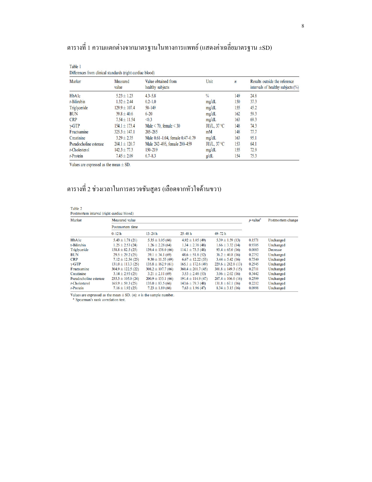| Differences from clinical standards (right cardiac blood) |                   |                                         |                      |                  |                                                                       |  |  |  |
|-----------------------------------------------------------|-------------------|-----------------------------------------|----------------------|------------------|-----------------------------------------------------------------------|--|--|--|
| Marker                                                    | Measured<br>value | Value obtained from<br>healthy subjects | Unit                 | $\boldsymbol{n}$ | Results outside the reference<br>intervals of healthy subjects $(\%)$ |  |  |  |
| HbAlc                                                     | $5.23 \pm 1.23$   | $4.3 - 5.8$                             | $\frac{0}{0}$        | 149              | 24.8                                                                  |  |  |  |
| $t$ -Bilirubin                                            | $1.32 \pm 2.44$   | $0.2 - 1.0$                             | mg/dL                | 150              | 37.3                                                                  |  |  |  |
| Triglyceride                                              | $129.9 \pm 107.4$ | $50 - 149$                              | mg/dL                | 155              | 45.2                                                                  |  |  |  |
| <b>BUN</b>                                                | $39.8 \pm 40.6$   | $6 - 20$                                | mg/dL                | 162              | 59.3                                                                  |  |  |  |
| <b>CRP</b>                                                | $7.54 \pm 11.54$  | $\triangleleft$ 0.3                     | mg/dL                | 163              | 69.3                                                                  |  |  |  |
| $\gamma$ -GTP                                             | $154.1 \pm 173.4$ | Male $\leq$ 70, female $\leq$ 30        | IU/L, $37^{\circ}$ C | 148              | 74.3                                                                  |  |  |  |
| Fructsamine                                               | $325.3 \pm 147.1$ | $205 - 285$                             | mM                   | 148              | 77.7                                                                  |  |  |  |
| Creatinine                                                | $3.29 \pm 2.35$   | Male 0.61-1.04, female 0.47-0.79        | mg/dL                | 163              | 95.1                                                                  |  |  |  |
| Pseudocholine esterase                                    | $204.1 \pm 120.7$ | Male 242-495, female 200-459            | IU/L, $37^{\circ}$ C | 153              | 64.1                                                                  |  |  |  |
| $t$ -Cholesterol                                          | $142.3 \pm 77.3$  | $150 - 219$                             | mg/dL                | 155              | 72.9                                                                  |  |  |  |
| $t$ -Protein                                              | $7.45 \pm 2.09$   | $6.7 - 8.3$                             | g/dL                 | 154              | 75.3                                                                  |  |  |  |

# ตารางที่ 1 ความแตกต่างจากมาตรฐานในทางการแพทย์ (แสดงค่าเฉลี่ยมาตรฐาน ±SD)

Values are expressed as the mean  $\pm$  SD.

Table 1

# ตารางที่ 2 ช่วงเวลาในการตรวจชันสูตร (เลือดจากหัวใจค้านขวา)

| Table 2                                   |  |  |
|-------------------------------------------|--|--|
| Postmortem interval (right cardiac blood) |  |  |

| Marker                 | Measured value         | $p$ -value <sup><math>a</math></sup> | Postmortem change      |                        |        |           |  |
|------------------------|------------------------|--------------------------------------|------------------------|------------------------|--------|-----------|--|
|                        | Postmortem time        |                                      |                        |                        |        |           |  |
|                        | $0-12h$                | $13 - 24 h$                          | $25 - 48$ h            | $49 - 72 h$            |        |           |  |
| <b>HbAlc</b>           | $5.43 \pm 1.78$ (21)   | $5.35 \pm 1.05(66)$                  | $4.92 \pm 1.05$ (49)   | $5.39 \pm 1.59$ (13)   | 0.1571 | Unchanged |  |
| t-Bilirubin            | $1.25 \pm 2.53$ (24)   | $1.26 \pm 2.28$ (64)                 | $1.34 \pm 2.38$ (48)   | $1.66 \pm 3.32$ (14)   | 0.9305 | Unchanged |  |
| Triglyceride           | $158.8 \pm 82.5(25)$   | $139.4 \pm 138.0(66)$                | $114.1 \pm 73.5(48)$   | $93.4 \pm 65.0$ (16)   | 0.0083 | Decrease  |  |
| <b>BUN</b>             | $29.5 \pm 29.2$ (25)   | $39.1 \pm 34.1$ (69)                 | $48.6 \pm 51.8$ (52)   | $36.2 \pm 40.8$ (16)   | 0.2752 | Unchanged |  |
| <b>CRP</b>             | $7.12 \pm 12.54(25)$   | $9.30 \pm 11.55(69)$                 | $6.67 \pm 12.22(53)$   | $3.44 \pm 5.42$ (16)   | 0.7540 | Unchanged |  |
| $\gamma$ -GTP          | $131.0 \pm 113.3(25)$  | $135.8 \pm 162.9$ (61)               | $165.1 \pm 172.6$ (49) | $229.6 \pm 282.8$ (13) | 0.2545 | Unchanged |  |
| Fructsamine            | $304.9 \pm 122.5(22)$  | $308.2 \pm 107.7(66)$                | $360.4 \pm 201.7(45)$  | $301.8 \pm 149.3(15)$  | 0.2711 | Unchanged |  |
| Creatinine             | $3.14 \pm 2.93$ (25)   | $3.21 \pm 2.11(69)$                  | $3.53 \pm 2.48(53)$    | $3.06 \pm 2.02$ (16)   | 0.3442 | Unchanged |  |
| Pseudocholine esterase | $235.3 \pm 105.0$ (24) | $200.9 \pm 133.1(66)$                | $191.4 \pm 114.9$ (47) | $207.4 \pm 106.0$ (16) | 0.2599 | Unchanged |  |
| t-Cholesterol          | $165.9 \pm 59.3(25)$   | $135.0 \pm 83.5(66)$                 | $143.6 \pm 79.3(48)$   | $131.8 \pm 67.1$ (16)  | 0.2212 | Unchanged |  |
| $t$ -Protein           | $7.16 \pm 1.92$ (25)   | $7.23 \pm 1.89$ (66)                 | $7.63 \pm 1.96(47)$    | $8.34 \pm 3.15$ (16)   | 0.0998 | Unchanged |  |

Values are expressed as the mean  $\pm$  SD. (*n*): *n* is the sample number. <br><sup>a</sup> Spearman's rank correlation test.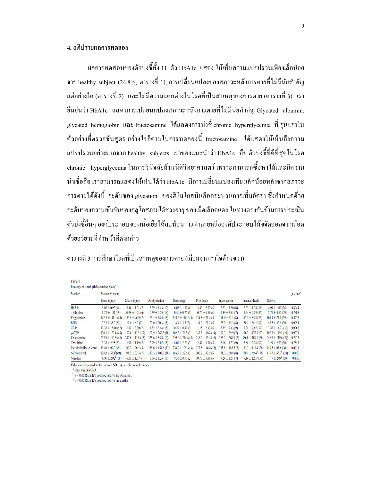# 4. อภิปรายผลการทดลอง

ผลการทดสอบของตัวบ่งชี้ทั้ง 11 ตัว HbA1c แสดง ให้เห็นความแปรปรวนเพียงเล็กน้อย จาก healthy subject (24.8%, ตารางที่ 1), การเปลี่ยนแปลงของสภาวะหลังการตายที่ไม่มีนัยสำคัญ แต่อย่างใด (ตารางที่ 2) และ ไม่มีความแตกต่างในโรคที่เป็นสาเหตุของการตาย (ตารางที่ 3) เรา ขืนยันว่า HbA1c แสดงการเปลี่ยนแปลงสภาวะหลังการตายที่ไม่มีนัยสำคัญ Glycated albumin, glycated hemoglobin และ fructosamine ได้แสดงการบ่งซึ่ chronic hyperglycemia ที่ รุนแรงใน ตัวอย่างที่ตรวจชันสูตร อย่างไรก็ตามในการทคลองนี้ fructosamine ได้แสดงให้เห็นถึงความ แปรปรวนอย่างมากจาก healthy subjects เราของแนะนำว่า HbA1c คือ ตัวบ่งซี้ที่ดีที่สุดในโรค chronic hyperglycemia ในการวินิจฉัยด้านนิติวิทยาศาสตร์ เพราะสามารถซื้อหา ใด้และมีความ น่าเชื่อถือ เราสามารถแสดงให้เห็นได้ว่า HbA1c มีการเปลี่ยนแปลงเพียงเล็กน้อยหลังจากสภาวะ การตายใด้ดังนี้ ระดับของ glycation ของฮีโมโกลบินคือกระบวนการเพิ่มอัตรา ซึ่งกำหนดด้วย ระดับของความเข้มข้นของกลูโคสภายใต้ช่วงอายุ ของเม็ดเลือดแดง ในทางตรงกันข้ามการประเมิน ตัวบ่งชี้อื่นๆ องค์ประกอบของเนื้อเยื่อใด้สะท้อนการทำลายหรือองค์ประกอบใด้ขจัดออกจากเลือด ค้วยอวัยวะที่ทำหน้าที่คังกล่าว

ตารางที่ 3 การศึกษาโรคที่เป็นสาเหตุของการตาย (เลือดจากหัวใจด้านขวา)

| Table 3                                 |  |  |  |
|-----------------------------------------|--|--|--|
| Etiology of death (right cardiac blood) |  |  |  |

| Marker                 | Measured value               |                             |                        |                       |                      |                       |                               |                              |          |
|------------------------|------------------------------|-----------------------------|------------------------|-----------------------|----------------------|-----------------------|-------------------------------|------------------------------|----------|
|                        | <b>Blunt</b> injury          | Sharp injury                | Asphyxiation           | <b>Drowning</b>       | Fire death           | <b>Intoxication</b>   | Internal death                | Others                       |          |
| <b>HbAlc</b>           | $5.05 \pm 0.93(44)$          | $5.44 \pm 1.01(7)$          | $5.39 \pm 1.43(17)$    | $6.05 \pm 1.52$ (4)   | $5.80 \pm 2.37(5)$   | $5.23 \pm 1.50(8)$    | $5.33 \pm 1.34$ (36)          | $4.99 \pm 1.09$ (28)         | 0.6044   |
| t-Bilirubin            | $1.25 \pm 1.84(49)$          | $0.38 \pm 0.41$ (6)         | $0.39 \pm 0.25$ (18)   | $0.40 \pm 0.26$ (3)   | $0.70 \pm 0.88$ (4)  | $1.99 \pm 3.91(7)$    | $1.34 \pm 2.63(36)$           | $2.21 \pm 3.52$ (29)         | 0.2808   |
| Triglyceride           | $142.5 \pm 148.1$ (49)       | $135.6 \pm 46.9(7)$         | $163.1 \pm 94.5(18)$   | $155.0 \pm 116.2$ (3) | $134.8 \pm 79.4(5)$  | $111.0 \pm 61.1(8)$   | $117.1 \pm 85.8(36)$          | $101.9 \pm 77.1(29)$         | 0.5737   |
| <b>BUN</b>             | $37.5 \pm 35.0(52)$          | $10.4 \pm 6.9(7)$           | $22.0 \pm 20.3$ (18)   | $18.4 \pm 3.5(3)$     | $34.0 \pm 29.2(5)$   | $25.2 \pm 15.3(8)$    | $58.1 \pm 54.1(39)$           | $47.5 \pm 42.5(30)$          | 0.0094   |
| <b>CRP</b>             | $12.35 \pm 15.40(52)$        | $1.49 \pm 3.30(7)$          | $1.82 \pm 3.44(18)$    | $0.29 \pm 0.42$ (3)   | $1.15 \pm 2.43(5)$   | $3.59 \pm 9.43(9)$    | $7.24 \pm 7.67(39)$           | $7.47 \pm 11.23(30)$         | 0.0063   |
| $\gamma$ -GTP          | $130.3 \pm 152.8$ (49)       | $152.4 \pm 132.1$ (7)       | $162.9 \pm 265.5$ (18) | $102.3 \pm 76.5$ (3)  | $138.3 \pm 166.3(4)$ | $117.3 \pm 59.9(7)$   | $176.2 \pm 173.3(32)$         | $182.3 \pm 179.1$ (28)       | 0.9079   |
| Fructsamine            | $293.9 \pm 103.9$ (48)       | $247.6 \pm 115.6$ (5)       | $336.6 \pm 55.8$ (17)  | $259.0 \pm 214.6$ (3) | $258.0 \pm 131.4(5)$ | $365.2 \pm 268.9$ (6) | $366.8 \pm 189.1(36)$         | $346.7 \pm 149.6(28)$        | 0.2433   |
| Creatinine             | $3.35 \pm 2.25(52)$          | $1.91 \pm 1.19(7)$          | $2.99 \pm 3.07(18)$    | $4.09 \pm 2.29$ (3)   | $2.69 \pm 1.30(5)$   | $3.16 \pm 1.37(9)$    | $3.64 \pm 2.28$ (39)          | $3.29 \pm 2.73(30)$          | 0.7557   |
| Pseudocholine esterase | $193.0 \pm 91.0(49)$         | $197.2 \pm 96.1(5)$         | $285.6 \pm 151.6(17)$  | $274.0 \pm 109.3$ (3) | $277.6 \pm 148.8(5)$ | $288.8 \pm 185.5(8)$  | $183.7 \pm 117.4(36)$         | $159.5 \pm 98.6(30)$         | 0.0039   |
| $t$ -Cholesterol       | $128.9 \pm 53.1^b(49)$       | $98.3 \pm 32.3(7)$          | $219.3 \pm 108.0$ (18) | $183.7 \pm 22.6$ (3)  | $200.2 \pm 92.9(5)$  | $131.3 \pm 60.8$ (8)  | $130.1 \pm 69.4^{\circ}$ (36) | $119.5 \pm 66.7^b$ (29)      | < 0.0001 |
| $t$ -Protein           | $6.96 \pm 2.02^{\circ}$ (50) | $6.06 \pm 1.87^{\circ}$ (7) | $8.64 \pm 1.23$ (18)   | $9.35 \pm 0.78$ (2)   | $10.76 \pm 3.88$ (5) | $9.24 \pm 1.51(7)$    | $7.14 \pm 1.55^{\circ}$ (35)  | $7.17 \pm 2.04^{\circ}$ (30) | < 0.0001 |

Values are expressed as the mean  $\pm$  SD, (*n*): *n* is the sample number.

One way ANOVA.

 $p < 0.05$  (Scheffe's posthoc test; vs asphyxiation).

 $p \le 0.05$  (Scheffe's posthoc test; vs fire death).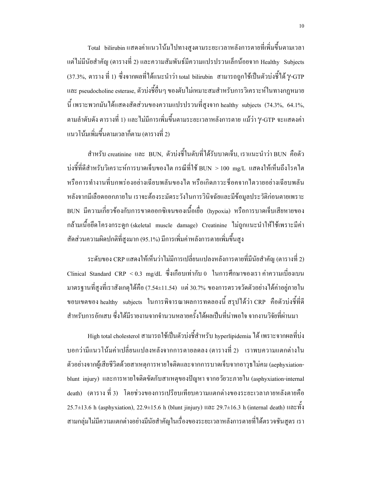- Total - bilirubin แสดงค่าแนวโน้มใปทางสูงตามระยะเวลาหลังการตายที่เพิ่มขึ้นตามเวลา แต่ไม่มีนัยสำคัญ (ตารางที่ 2) และความสัมพันธ์มีความแปรปรวนเล็กน้อยจาก Healthy Subjects (37.3%, ตาราง ที่ 1) ซึ่งจากผลที่ได้แนะนำว่า total bilirubin สามารถถูกใช้เป็นตัวบ่งชี้ได้ γ-GTP และ pseudocholine esterase, ตัวบ่งชี้อื่นๆ ของตับไม่เหมาะสมสำหรับการวิเคราะห์ในทางกฎหมาย นี้ เพราะพวกมันได้แสดงสัดส่วนของความแปรปรวนที่สูงจาก healthy subjects (74.3%, 64.1%, ี ตามลำดับดัง ตารางที่ 1) และ ไม่มีการเพิ่มขึ้นตามระยะเวลาหลังการตาย แม้ว่า Y-GTP จะแสดงค่า แนวโน้มเพิ่มขึ้นตามเวลาก็ตาม (ตารางที่ 2)

สำหรับ creatinine และ BUN, ตัวบ่งชี้ในตับที่ได้รับบาดเจ็บ,เราแนะนำว่า BUN คือตัว บ่งชี้ที่ดีสำหรับวิเคราะห์การบาดเจ็บของไต กรณีที่ใช้ BUN >100 mg/L แสดงให้เห็นถึงโรคไต หรือการทำงานที่บกพร่องอย่างเฉียบพลันของใต หรือเกิดภาวะช็อคจากใตวายอย่างเฉียบพลัน หลังจากมีเลือดออกภายใน เราจะต้องระมัดระวังในการวินิจฉัยและมีข้อมูลประวัติก่อนตายเพราะ BUN มีความเกี่ยวข้องกับการขาดออกซิเจนของเนื้อเยื่อ (hypoxia) หรือการบาดเจ็บเสียหายของ ึกล้ามเนื้อยึดโครงกระดูก (skeletal muscle damage) Creatinine ไม่ถูกแนะนำให้ใช้เพราะมีค่า ี สัดส่วนความผิดปกติที่สงมาก (95.1%) มีการเพิ่มค่าหลังการตายเพิ่มขึ้นสง

้ ระดับของ CRP แสดงให้เห็นว่าไม่มีการเปลี่ยนแปลงหลังการตายที่มีนัยสำคัญ (ตารางที่ 2) Clinical Standard CRP < 0.3 mg/dL ซึ่งเกือบเท่ากับ 0 ในการศึกษาของเรา ค่าความเบี่ยงเบน มาตรฐานที่สูงที่เราสังเกตุใด้คือ (7.54±11.54) แต่ 30.7% ของการตรวจวัดตัวอย่างได้ค่าอยู่ภายใน ขอบเขตของ healthy subjects ในการพิจารณาผลการทดลองนี้ สรปได้ว่า CRP คือตัวบ่งชี้ที่ดี ี สำหรับการอักเสบ ซึ่งได้มีรายงานจากจำนวนหลายครั้งได้ผลเป็นที่น่าพอใจ จากงานวิจัยที่ผ่านมา

High total cholesterol สามารถใช้เป็นตัวบ่งชี้สำหรับ hyperlipidemia ได้ เพราะจากผลที่บ่ง ี บอกว่ามีแนวโน้มค่าเปลี่ยนแปลงหลังจากการตายลดลง (ตารางที่ 2) เราพบความแตกต่างใน ตัวอย่างจากผู้เสียชีวิตด้วยสาเหตุการหายใจติดและจากการบาดเจ็บจากอาวุธไม่คม (aephyxiationblunt injury) และการหายใจติดขัดกับสาเหตุของปัญหา จากอวัยวะภายใน (asphyxiation-internal death) (ตาราง ที่ 3) โดยช่วงของการเปรียบเทียบความแตกต่างของระยะเวลาภายหลังตายคือ 25.7±13.6 h (asphyxiation), 22.9±15.6 h (blunt jinjury)  $\text{max } 29.7\pm16.3$  h (internal death)  $\text{max } \tilde{N}$ ่ สามกลุ่มใม่มีความแตกต่างอย่างมีนัยสำคัญในเรื่องของระยะเวลาหลังการตายที่ได้ตรวจชันสูตร เรา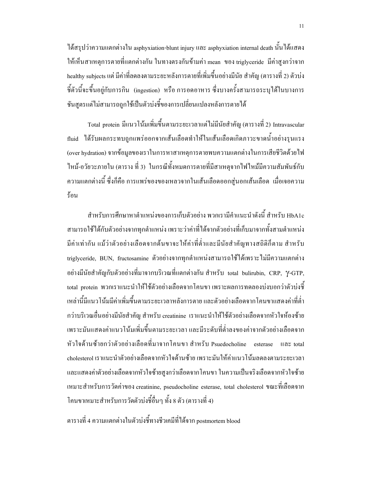ใด้สรุปว่าความแตกต่างใน asphyxiation-blunt injury และ asphyxiation internal death นั้นใด้แสดง ให้เห็นสาเหตุการตายที่แตกต่างกัน ในทางตรงกันข้ามค่า mean ของ triglyceride มีค่าสูงกว่าจาก healthy subjects แต่ มีค่าที่ลดลงตามระยะหลังการตายที่เพิ่มขึ้นอย่างมีนัย สำคัญ (ตารางที่ 2) ตัวบ่ง ซี้ตัวนี้จะขึ้นอยู่กับการกิน (ingestion) หรือ การอดอาหาร ซึ่งบางครั้งสามารถระบุได้ในบางการ ชันสูตรแต่ไม่สามารถถูกใช้เป็นตัวบ่งชี้ของการเปลี่ยนแปลงหลังการตายได้

Total protein มีแนวโน้มเพิ่มขึ้นตามระยะเวลาแต่ไม่มีนัยสำคัญ (ตารางที่ 2) Intravascular fluid ได้รับผลกระทบถูกแพร่ออกจากเส้นเลือดทำให้ในเส้นเลือดเกิดภาวะขาดน้ำอย่างรุนแรง (over hydration) จากข้อมูลของเราในการหาสาเหตุการตายพบความแตกต่างในการเสียชีวิตด้วยใฟ ใหม้-อวัยวะภายใน (ตาราง ที่ 3) ในกรณีทั้งหมดการตายที่มีสาเหตุจากไฟไหม้มีความสัมพันธ์กับ ้ความแตกต่างนี้ ซึ่งก็คือ การแพร่ของของเหลวจากในเส้นเลือดออกสู่นอกเส้นเลือด เมื่อเจอความ ร้อบ

สำหรับการศึกษาหาตำแหน่งของการเก็บตัวอย่าง พวกเรามีคำแนะนำดังนี้ สำหรับ HbA1c ี่ สามารถใช้ได้กับตัวอย่างจากทุกตำแหน่ง เพราะว่าค่าที่ได้จากตัวอย่างที่เก็บมาจากทั้งสามตำแหน่ง มีค่าเท่ากัน แม้ว่าตัวอย่างเลือดจากต้นขาจะให้ค่าที่ต่ำและมีนัยสำคัญทางสถิติก็ตาม สำหรับ triglyceride, BUN, fructosamine ตัวอย่างจากทกตำแหน่งสามารถใช้ได้เพราะไม่มีความแตกต่าง อย่างมีนัยสำคัญกับตัวอย่างที่มาจากบริเวณที่แตกต่างกัน สำหรับ total bulirubin, CRP, Y-GTP, total protein พวกเราแนะนำให้ใช้ตัวอย่างเลือดจากโคนขา เพราะผลการทดลองบ่งบอกว่าตัวบ่งชื้ ้เหล่านี้มีแนวโน้มมีค่าเพิ่มขึ้นตามระยะเวลาหลังการตาย และตัวอย่างเลือดจากโคนขาแสดงค่าที่ต่ำ ี กว่าบริเวณอื่นอย่างมีนัยสำคัญ สำหรับ creatinine เราแนะนำให้ใช้ตัวอย่างเลือดจากหัวใจห้องซ้าย ้เพราะมันแสดงค่าแนวโน้มเพิ่มขึ้นตามระยะเวลา และมีระดับที่ต่ำลงของค่าจากตัวอย่างเลือดจาก หัวใจด้านซ้ายกว่าตัวอย่างเลือดที่มาจากโคนขา สำหรับ Psuedocholine esterase และ total cholesterol เราแนะนำตัวอย่างเลือดจากหัวใจด้านซ้าย เพราะมันให้ค่าแนวโน้มลดลงตามระยะเวลา และแสดงค่าตัวอย่างเลือดจากหัวใจซ้ายสูงกว่าเลือดจากโคนขา ในความเป็นจริงเลือดจากหัวใจซ้าย เหมาะสำหรับการวัดค่าของ creatinine, pseudocholine esterase, total cholesterol ขณะที่เลือดจาก โคนขาเหมาะสำหรับการวัดตัวบ่งชี้อื่นๆ ทั้ง 8 ตัว (ตารางที่ 4)

ตารางที่ 4 ความแตกต่างในตัวบ่งชี้ทางชีวเคมีที่ได้จาก postmortem blood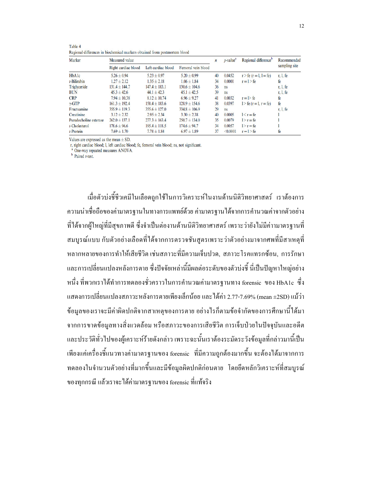| Marker                 | Measured value      |                    |                    |    | $p$ -value <sup><math>a</math></sup> | Regional difference <sup>b</sup> | Recommended   |  |
|------------------------|---------------------|--------------------|--------------------|----|--------------------------------------|----------------------------------|---------------|--|
|                        | Right cardiac blood | Left cardiac blood | Femoral vein blood |    |                                      |                                  | sampling site |  |
| <b>HbAlc</b>           | $5.26 \pm 0.94$     | $5.23 \pm 0.97$    | $5.20 \pm 0.99$    | 40 | 0.0452                               | $r > fe (r = 1, 1 = fe)$         | r, l, fe      |  |
| $t$ -Bilirubin         | $1.27 \pm 2.12$     | $1.35 \pm 2.18$    | $1.06 \pm 1.84$    | 34 | 0.0001                               | $r = l > fe$                     | fe            |  |
| Triglyceride           | $131.4 \pm 144.7$   | $147.4 \pm 183.1$  | $130.6 \pm 104.6$  | 36 | ns                                   |                                  | r, l, fe      |  |
| <b>BUN</b>             | $45.3 \pm 42.6$     | $44.1 \pm 42.3$    | $45.1 \pm 42.5$    | 39 | ns                                   |                                  | r, l, fe      |  |
| <b>CRP</b>             | $7.94 \pm 10.38$    | $8.12 \pm 10.74$   | $6.96 \pm 9.27$    | 41 | 0.0032                               | $r = \triangleright$ fe          | fe            |  |
| $\gamma$ -GTP          | $161.3 \pm 192.4$   | $158.4 \pm 183.6$  | $128.9 \pm 154.6$  | 38 | 0.0397                               | $1 > fe (r = 1, r = fe)$         | fe            |  |
| Fructsamine            | $355.9 \pm 119.3$   | $355.6 \pm 127.0$  | $334.8 \pm 106.9$  | 29 | <b>ns</b>                            |                                  | r, 1, fe      |  |
| Creatinine             | $3.12 \pm 2.32$     | $2.95 \pm 2.34$    | $3.30 \pm 2.38$    | 40 | 0.0005                               | $1 < r = fe$                     |               |  |
| Pseudocholine esterase | $262.0 \pm 137.1$   | $277.3 \pm 163.4$  | $250.7 \pm 134.0$  | 35 | 0.0079                               | $1 > r = fe$                     |               |  |
| $t$ -Cholesterol       | $178.6 \pm 96.6$    | $195.4 \pm 118.5$  | $174.6 \pm 94.7$   | 34 | 0.0057                               | $1 > r = fe$                     |               |  |
| $t$ -Protein           | $7.69 \pm 1.70$     | $7.78 \pm 1.84$    | $6.97 \pm 1.89$    | 37 | < 0.0001                             | $r = l > fe$                     | fe            |  |

Table 4 Regional differences in biochemical markers obtained from postmortem blood

Values are expressed as the mean  $\pm$  SD.

r, right cardiac blood; l, left cardiac blood; fe, femoral vein blood; ns, not significant.

One-way repeated measures ANOVA.

 $<sup>b</sup>$  Paired *t*-test.</sup>

้เมื่อตัวบ่งชี้ชีวเคมีในเลือดถกใช้ในการวิเคราะห์ในงานค้านนิติวิทยาศาสตร์ เราต้องการ ้ความน่าเชื่อถือของค่ามาตรฐานในทางการแพทย์ด้วย ค่ามาตรฐานได้จากการคำนวณค่าจากตัวอย่าง ีที่ได้จากผู้ใหญ่ที่มีสุขภาพดี ซึ่งจำเป็นต่องานด้านนิติวิทยาศาสตร์ เพราะว่ายังไม่มีค่าามาตรฐานที่ ี สมบูรณ์แบบ กับตัวอย่างเลือดที่ได้จากการตรวจชั้นสูตรเพราะว่าตัวอย่างมาจากศพที่มีสาเหตุที่ หลากหลายของการทำให้เสียชีวิต เช่นสภาวะที่มีความเจ็บปวด, สภาวะโรคแทรกซ้อน, การรักษา และการเปลี่ยนแปลงหลังการตาย ซึ่งปัจจัยเหล่านี้มีผลต่อระดับของตัวบ่งชี้ นี่เป็นปัญหาใหญ่อย่าง หนึ่ง ที่พวกเราได้ทำการทดลองชั่วคราวในการคำนวณค่ามาตรฐานทาง forensic ของ HbA1c ซึ่ง แสดงการเปลี่ยนแปลงสภาวะหลังการตายเพียงเล็กน้อย และได้ค่า 2.77-7.69% (mean ±2SD) แม้ว่า ข้อมูลของเราจะมีค่าผิดปกติจากสาเหตุของการตาย อย่างไรก็ตามข้อจำกัดของการศึกษานี้ได้มา ิจากการขาดข้อมูลทางสิ่งแวดล้อม หรือสภาวะของการเสียชีวิต การเจ็บป่วยในปัจจุบันและอดีต และประวัติทั่วไปของผู้เคราะห์ร้ายดังกล่าว เพราะฉะนั้นเราต้องระมัดระวังข้อมูลที่กล่าวมานี้เป็น ้เพียงแก่เครื่องชี้แนวทางก่ามาตรฐานของ forensic - ที่มีความถูกต้องมากขึ้น จะต้องได้มาจากการ ี ทคลองในจำนวนตัวอย่างที่มากขึ้นและมีข้อมูลผิดปกติก่อนตาย โดยยึดหลักวิเคราะห์ที่สมบูรณ์ ของทุกกรณี แล้วเราจะได้ค่ามาตรฐานของ forensic ที่แท้จริง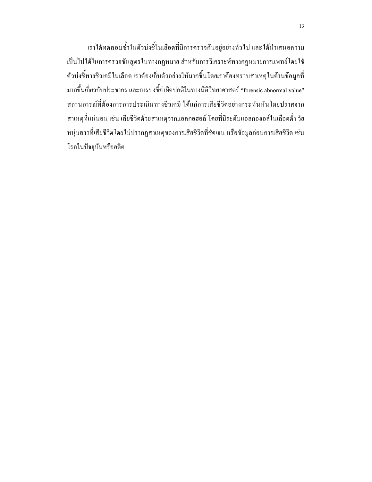เราได้ทดสอบซ้ำในตัวบ่งชี้ในเลือดที่มีการตรวจกันอยู่อย่างทั่วไป และได้นำเสนอความ ้เป็นไปได้ในการตรวจชั้นสูตรในทางกฎหมาย สำหรับการวิเคราะห์ทางกฎหมายการแพทย์โดยใช้ ตัวบ่งชี้ทางชีวเคมีในเลือด เราต้องเก็บตัวอย่างให้มากขึ้นโดยเราต้องทราบสาเหตุในด้านข้อมูลที่ มากขึ้นเกี่ยวกับประชากร และการบ่งชี้ค่าผิดปกติในทางนิติวิทยาศาสตร์ "forensic abnormal value" ิสถานการณ์ที่ต้องการการประเมินทางชีวเคมี ได้แก่การเสียชีวิตอย่างกระทันหันโดยปราศจาก สาเหตุที่แน่นอน เช่น เสียชีวิตด้วยสาเหตุจากแอลกอฮอล์ โดยที่มีระดับแอลกอฮอล์ในเลือดต่ำ วัย หนุ่มสาวที่เสียชีวิตโดยใม่ปรากฏสาเหตุของการเสียชีวิตที่ชัดเจน หรือข้อมูลก่อนการเสียชีวิต เช่น โรคในปัจจุบันหรืออดีต